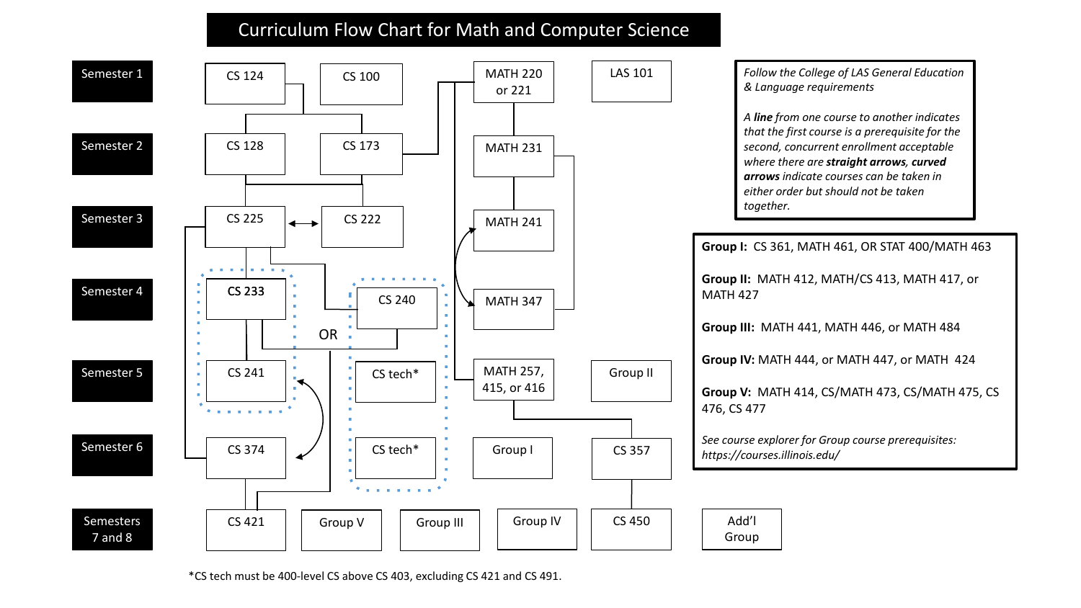## Curriculum Flow Chart for Math and Computer Science



\*CS tech must be 400-level CS above CS 403, excluding CS 421 and CS 491.